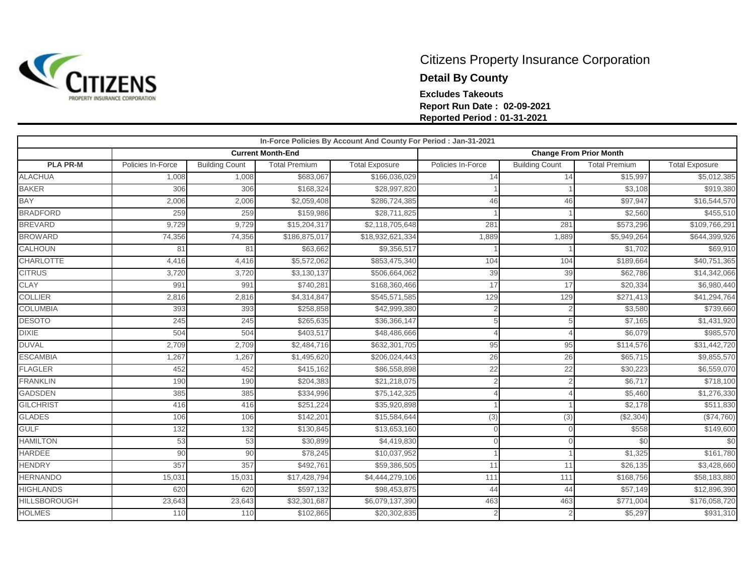

## Citizens Property Insurance Corporation **Detail By County Excludes Takeouts Report Run Date : 02-09-2021 Reported Period : 01-31-2021**

| In-Force Policies By Account And County For Period : Jan-31-2021 |                   |                       |                          |                       |                                |                       |                         |                       |  |  |
|------------------------------------------------------------------|-------------------|-----------------------|--------------------------|-----------------------|--------------------------------|-----------------------|-------------------------|-----------------------|--|--|
|                                                                  |                   |                       | <b>Current Month-End</b> |                       | <b>Change From Prior Month</b> |                       |                         |                       |  |  |
| <b>PLA PR-M</b>                                                  | Policies In-Force | <b>Building Count</b> | <b>Total Premium</b>     | <b>Total Exposure</b> | Policies In-Force              | <b>Building Count</b> | <b>Total Premium</b>    | <b>Total Exposure</b> |  |  |
| <b>ALACHUA</b>                                                   | 1,008             | 1,008                 | \$683,067                | \$166,036,029         | 14                             | 14                    | \$15,997                | \$5,012,385           |  |  |
| <b>BAKER</b>                                                     | 306               | 306                   | \$168,324                | \$28,997,820          |                                |                       | \$3,108                 | \$919,380             |  |  |
| <b>BAY</b>                                                       | 2,006             | 2,006                 | \$2,059,408              | \$286,724,385         | 46                             | 46                    | \$97,947                | \$16,544,570          |  |  |
| <b>BRADFORD</b>                                                  | 259               | 259                   | \$159,986                | \$28,711,825          |                                |                       | \$2,560                 | \$455,510             |  |  |
| <b>BREVARD</b>                                                   | 9,729             | 9,729                 | \$15,204,317             | \$2,118,705,648       | 281                            | 281                   | \$573,296               | \$109,766,291         |  |  |
| <b>BROWARD</b>                                                   | 74,356            | 74,356                | \$186,875,017            | \$18,932,621,334      | 1,889                          | 1,889                 | $\overline{$5,949,264}$ | \$644,399,926         |  |  |
| <b>CALHOUN</b>                                                   | 81                | 81                    | \$63,662                 | \$9,356,517           |                                |                       | \$1,702                 | \$69,910              |  |  |
| <b>CHARLOTTE</b>                                                 | 4,416             | 4,416                 | \$5,572,062              | \$853,475,340         | 104                            | 104                   | \$189,664               | \$40,751,365          |  |  |
| <b>CITRUS</b>                                                    | 3,720             | 3,720                 | \$3,130,137              | \$506,664,062         | 39                             | 39                    | \$62,786                | \$14,342,066          |  |  |
| <b>CLAY</b>                                                      | 991               | 991                   | \$740,281                | \$168,360,466         | 17                             | 17                    | \$20,334                | \$6,980,440           |  |  |
| <b>COLLIER</b>                                                   | 2,816             | 2,816                 | \$4,314,847              | \$545,571,585         | 129                            | 129                   | \$271,413               | \$41,294,764          |  |  |
| <b>COLUMBIA</b>                                                  | 393               | 393                   | \$258,858                | \$42,999,380          |                                |                       | \$3,580                 | \$739,660             |  |  |
| <b>DESOTO</b>                                                    | 245               | 245                   | \$265,635                | \$36,366,147          |                                |                       | \$7,165                 | \$1,431,920           |  |  |
| <b>DIXIE</b>                                                     | 504               | 504                   | \$403,517                | \$48,486,666          |                                |                       | \$6,079                 | \$985,570             |  |  |
| <b>DUVAL</b>                                                     | 2,709             | 2,709                 | \$2,484,716              | \$632,301,705         | 95                             | 95                    | \$114,576               | \$31,442,720          |  |  |
| <b>ESCAMBIA</b>                                                  | 1,267             | 1,267                 | \$1,495,620              | \$206,024,443         | 26                             | 26                    | \$65,715                | \$9,855,570           |  |  |
| <b>FLAGLER</b>                                                   | 452               | 452                   | \$415,162                | \$86,558,898          | 22                             | 22                    | \$30,223                | \$6,559,070           |  |  |
| <b>FRANKLIN</b>                                                  | 190               | 190                   | \$204,383                | \$21,218,075          |                                |                       | \$6,717                 | \$718,100             |  |  |
| <b>GADSDEN</b>                                                   | 385               | 385                   | \$334,996                | \$75,142,325          |                                |                       | \$5,460                 | \$1,276,330           |  |  |
| <b>GILCHRIST</b>                                                 | 416               | 416                   | \$251,224                | \$35,920,898          |                                |                       | \$2,178                 | \$511,830             |  |  |
| <b>GLADES</b>                                                    | 106               | 106                   | \$142,201                | \$15,584,644          | (3)                            | (3)                   | (\$2,304)               | (\$74,760)            |  |  |
| <b>GULF</b>                                                      | 132               | 132                   | \$130,845                | \$13,653,160          | $\Omega$                       |                       | \$558                   | \$149,600             |  |  |
| <b>HAMILTON</b>                                                  | 53                | 53                    | \$30,899                 | \$4,419,830           |                                |                       | \$0                     | \$0                   |  |  |
| <b>HARDEE</b>                                                    | 90                | 90                    | \$78,245                 | \$10,037,952          |                                |                       | \$1,325                 | \$161,780             |  |  |
| <b>HENDRY</b>                                                    | 357               | 357                   | \$492,761                | \$59,386,505          | 11                             | 11                    | \$26,135                | \$3,428,660           |  |  |
| <b>HERNANDO</b>                                                  | 15,031            | 15,031                | \$17,428,794             | \$4,444,279,106       | 111                            | 111                   | \$168,756               | \$58,183,880          |  |  |
| <b>HIGHLANDS</b>                                                 | 620               | 620                   | \$597,132                | \$98,453,875          | 44                             | 44                    | \$57,149                | \$12,896,390          |  |  |
| <b>HILLSBOROUGH</b>                                              | 23,643            | 23,643                | \$32,301,687             | \$6,079,137,390       | 463                            | 463                   | \$771,004               | \$176,058,720         |  |  |
| <b>HOLMES</b>                                                    | 110               | 110                   | \$102,865                | \$20,302,835          |                                | $\overline{2}$        | \$5,297                 | \$931,310             |  |  |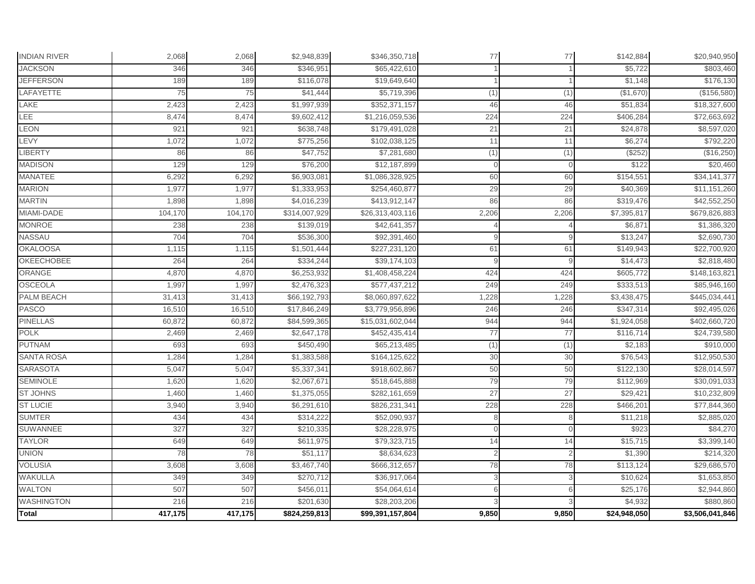| Total               | 417,175 | 417,175 | \$824,259,813 | \$99,391,157,804 | 9,850          | 9,850    | \$24,948,050 | \$3,506,041,846         |
|---------------------|---------|---------|---------------|------------------|----------------|----------|--------------|-------------------------|
| <b>WASHINGTON</b>   | 216     | 216     | \$201,630     | \$28,203,206     | $\mathcal{R}$  |          | \$4,932      | \$880,860               |
| <b>WALTON</b>       | 507     | 507     | \$456,011     | \$54,064,614     | 6              |          | \$25,176     | \$2,944,860             |
| WAKULLA             | 349     | 349     | \$270,712     | \$36,917,064     | 3              |          | \$10,624     | \$1,653,850             |
| <b>VOLUSIA</b>      | 3,608   | 3,608   | \$3,467,740   | \$666,312,657    | 78             | 78       | \$113,124    | \$29,686,570            |
| <b>UNION</b>        | 78      | 78      | \$51,117      | \$8,634,623      | $\overline{2}$ |          | \$1,390      | \$214,320               |
| <b>TAYLOR</b>       | 649     | 649     | \$611,975     | \$79,323,715     | 14             | 14       | \$15,715     | \$3,399,140             |
| <b>SUWANNEE</b>     | 327     | 327     | \$210,335     | \$28,228,975     | $\Omega$       |          | \$923        | \$84,270                |
| <b>SUMTER</b>       | 434     | 434     | \$314,222     | \$52,090,937     | 8              | 8        | \$11,218     | \$2,885,020             |
| <b>ST LUCIE</b>     | 3,940   | 3,940   | \$6,291,610   | \$826,231,341    | 228            | 228      | \$466,201    | \$77,844,360            |
| <b>ST JOHNS</b>     | 1,460   | 1,460   | \$1,375,055   | \$282,161,659    | 27             | 27       | \$29,421     | \$10,232,809            |
| <b>SEMINOLE</b>     | 1,620   | 1,620   | \$2,067,67    | \$518,645,888    | 79             | 79       | \$112,969    | \$30,091,033            |
| <b>SARASOTA</b>     | 5,047   | 5,047   | \$5,337,34    | \$918,602,867    | 50             | 50       | \$122,130    | \$28,014,597            |
| <b>SANTA ROSA</b>   | 1,284   | 1,284   | \$1,383,588   | \$164,125,622    | 30             | 30       | \$76,543     | \$12,950,530            |
| <b>PUTNAM</b>       | 693     | 693     | \$450,490     | \$65,213,485     | (1)            | (1)      | \$2,183      | \$910,000               |
| <b>POLK</b>         | 2,469   | 2,469   | \$2,647,178   | \$452,435,414    | 77             | 77       | \$116,714    | \$24,739,580            |
| <b>PINELLAS</b>     | 60,872  | 60,872  | \$84,599,365  | \$15,031,602,044 | 944            | 944      | \$1,924,058  | \$402,660,720           |
| PASCO               | 16,510  | 16,510  | \$17,846,249  | \$3,779,956,896  | 246            | 246      | \$347,314    | \$92,495,026            |
| <b>PALM BEACH</b>   | 31,413  | 31,413  | \$66,192,793  | \$8,060,897,622  | 1,228          | 1,228    | \$3,438,475  | \$445,034,441           |
| <b>OSCEOLA</b>      | 1,997   | 1,997   | \$2,476,323   | \$577,437,212    | 249            | 249      | \$333,513    | \$85,946,160            |
| ORANGE              | 4,870   | 4,870   | \$6,253,932   | \$1,408,458,224  | 424            | 424      | \$605,772    | \$148,163,821           |
| OKEECHOBEE          | 264     | 264     | \$334,244     | \$39,174,103     | 9              |          | \$14,473     | \$2,818,480             |
| <b>OKALOOSA</b>     | 1,115   | 1,115   | \$1,501,444   | \$227,231,120    | 61             | 61       | \$149,943    | \$22,700,920            |
| NASSAU              | 704     | 704     | \$536,300     | \$92,391,460     | 9              |          | \$13,247     | \$2,690,730             |
| <b>MONROE</b>       | 238     | 238     | \$139,019     | \$42,641,357     |                |          | \$6,871      | $\overline{$1,386,320}$ |
| MIAMI-DADE          | 104,170 | 104,170 | \$314,007,929 | \$26,313,403,116 | 2,206          | 2,206    | \$7,395,817  | \$679,826,883           |
| <b>MARTIN</b>       | 1,898   | 1,898   | \$4,016,239   | \$413,912,147    | 86             | 86       | \$319,476    | \$42,552,250            |
| <b>MARION</b>       | 1,977   | 1,977   | \$1,333,953   | \$254,460,877    | 29             | 29       | \$40,369     | \$11,151,260            |
| MANATEE             | 6,292   | 6,292   | \$6,903,08    | \$1,086,328,925  | 60             | 60       | \$154,551    | \$34,141,377            |
| <b>MADISON</b>      | 129     | 129     | \$76,200      | \$12,187,899     | $\overline{0}$ | $\Omega$ | \$122        | \$20,460                |
| <b>LIBERTY</b>      | 86      | 86      | \$47,752      | \$7,281,680      | (1)            | (1)      | (\$252)      | (\$16,250)              |
| LEVY                | 1,072   | 1,072   | \$775,256     | \$102,038,125    | 11             | 11       | \$6,274      | \$792,220               |
| <b>LEON</b>         | 921     | 921     | \$638,748     | \$179,491,028    | 21             | 21       | \$24,878     | \$8,597,020             |
| LEE                 | 8,474   | 8,474   | \$9,602,412   | \$1,216,059,536  | 224            | 224      | \$406,284    | \$72,663,692            |
| <b>LAKE</b>         | 2,423   | 2,423   | \$1,997,939   | \$352,371,157    | 46             | 46       | \$51,834     | \$18,327,600            |
| LAFAYETTE           | 75      | 75      | \$41,444      | \$5,719,396      | (1)            | (1)      | (\$1,670)    | (\$156,580)             |
| <b>JEFFERSON</b>    | 189     | 189     | \$116,078     | \$19,649,640     |                |          | \$1,148      | \$176,130               |
| <b>JACKSON</b>      | 346     | 346     | \$346,95      | \$65,422,610     |                |          | \$5,722      | \$803,460               |
| <b>INDIAN RIVER</b> | 2,068   | 2,068   | \$2,948,839   | \$346,350,718    | 77             | 77       | \$142,884    | \$20,940,950            |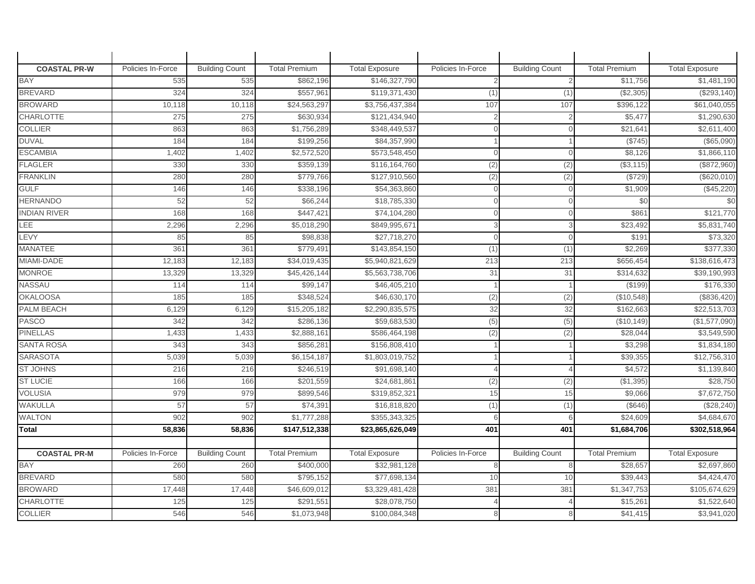| <b>COASTAL PR-W</b> | Policies In-Force | <b>Building Count</b> | <b>Total Premium</b> | <b>Total Exposure</b> | Policies In-Force | <b>Building Count</b> | <b>Total Premium</b> | <b>Total Exposure</b> |
|---------------------|-------------------|-----------------------|----------------------|-----------------------|-------------------|-----------------------|----------------------|-----------------------|
| <b>BAY</b>          | 535               | 535                   | \$862,196            | \$146,327,790         |                   | $\overline{2}$        | \$11,756             | \$1,481,190           |
| <b>BREVARD</b>      | 324               | 324                   | \$557,961            | \$119,371,430         | (1)               | (1)                   | (\$2,305)            | (\$293,140)           |
| <b>BROWARD</b>      | 10,118            | 10,118                | \$24,563,297         | \$3,756,437,384       | 107               | 107                   | \$396,122            | \$61,040,055          |
| CHARLOTTE           | 275               | 275                   | \$630,934            | \$121,434,940         |                   | $\overline{2}$        | \$5,477              | \$1,290,630           |
| <b>COLLIER</b>      | 863               | 863                   | \$1,756,289          | \$348,449,537         | $\cap$            | $\Omega$              | \$21,64'             | \$2,611,400           |
| <b>DUVAL</b>        | 184               | 184                   | \$199,256            | \$84,357,990          |                   |                       | (\$745)              | (\$65,090)            |
| <b>ESCAMBIA</b>     | 1,402             | 1,402                 | \$2,572,520          | \$573,548,450         | $\Omega$          | $\Omega$              | \$8,126              | \$1,866,110           |
| <b>FLAGLER</b>      | 330               | 330                   | \$359,139            | \$116,164,760         | (2)               | (2)                   | (\$3,115)            | (\$872,960)           |
| <b>FRANKLIN</b>     | 280               | 280                   | \$779,766            | \$127,910,560         | (2)               | (2)                   | (\$729)              | (\$620,010)           |
| <b>GULF</b>         | 146               | 146                   | \$338,196            | \$54,363,860          | $\Omega$          | $\mathbf{0}$          | \$1,909              | (\$45,220)            |
| <b>HERNANDO</b>     | 52                | 52                    | \$66,244             | \$18,785,330          | $\Omega$          | $\Omega$              | \$0                  | \$0                   |
| <b>INDIAN RIVER</b> | 168               | 168                   | \$447,421            | \$74,104,280          |                   | $\Omega$              | \$86                 | \$121,770             |
| LEE                 | 2,296             | 2,296                 | \$5,018,290          | \$849,995,671         | 3                 | 3                     | \$23,492             | \$5,831,740           |
| <b>LEVY</b>         | 85                | 85                    | \$98,838             | \$27,718,270          | $\Omega$          | $\Omega$              | \$191                | \$73,320              |
| <b>MANATEE</b>      | 361               | 361                   | \$779,491            | \$143,854,150         | (1)               | (1)                   | \$2,269              | \$377,330             |
| MIAMI-DADE          | 12,183            | 12,183                | \$34,019,435         | \$5,940,821,629       | 213               | 213                   | \$656,454            | \$138,616,473         |
| <b>MONROE</b>       | 13,329            | 13,329                | \$45,426,144         | \$5,563,738,706       | 31                | 31                    | \$314,632            | \$39,190,993          |
| <b>NASSAU</b>       | 114               | 114                   | \$99,147             | \$46,405,210          |                   |                       | (\$199)              | \$176,330             |
| <b>OKALOOSA</b>     | 185               | 185                   | \$348,524            | \$46,630,170          | (2)               | (2)                   | (\$10,548)           | (\$836,420)           |
| PALM BEACH          | 6,129             | 6,129                 | \$15,205,182         | \$2,290,835,575       | 32                | 32                    | \$162,663            | \$22,513,703          |
| <b>PASCO</b>        | 342               | 342                   | \$286,136            | \$59,683,530          | (5)               | (5)                   | (\$10, 149)          | (\$1,577,090)         |
| <b>PINELLAS</b>     | 1,433             | 1,433                 | \$2,888,161          | \$586,464,198         | (2)               | (2)                   | \$28,044             | \$3,549,590           |
| <b>SANTA ROSA</b>   | 343               | 343                   | \$856,281            | \$156,808,410         |                   |                       | \$3,298              | \$1,834,180           |
| <b>SARASOTA</b>     | 5,039             | 5,039                 | \$6,154,187          | \$1,803,019,752       |                   |                       | \$39,355             | \$12,756,310          |
| <b>ST JOHNS</b>     | 216               | 216                   | \$246,519            | \$91,698,140          |                   | 4                     | \$4,572              | \$1,139,840           |
| <b>ST LUCIE</b>     | 166               | 166                   | \$201,559            | \$24,681,86           | (2)               | $\overline{(2)}$      | (\$1,395)            | \$28,750              |
| <b>VOLUSIA</b>      | 979               | 979                   | \$899,546            | \$319,852,321         | 15                | 15                    | \$9,066              | \$7,672,750           |
| <b>WAKULLA</b>      | 57                | 57                    | \$74,391             | \$16,818,820          | (1)               | (1)                   | (\$646)              | (\$28,240)            |
| <b>WALTON</b>       | 902               | 902                   | \$1,777,288          | \$355,343,325         |                   | 6                     | \$24,609             | \$4,684,670           |
| Total               | 58,836            | 58,836                | \$147,512,338        | \$23,865,626,049      | 401               | 401                   | \$1,684,706          | \$302,518,964         |
|                     |                   |                       |                      |                       |                   |                       |                      |                       |
| <b>COASTAL PR-M</b> | Policies In-Force | <b>Building Count</b> | <b>Total Premium</b> | <b>Total Exposure</b> | Policies In-Force | <b>Building Count</b> | <b>Total Premium</b> | <b>Total Exposure</b> |
| <b>BAY</b>          | 260               | 260                   | \$400,000            | \$32,981,128          | 8                 | 8                     | \$28,657             | \$2,697,860           |
| <b>BREVARD</b>      | 580               | 580                   | \$795,152            | \$77,698,134          | 10                | 10                    | \$39,443             | \$4,424,470           |
| <b>BROWARD</b>      | 17,448            | 17,448                | \$46,609,012         | \$3,329,481,428       | 381               | 381                   | \$1,347,753          | \$105,674,629         |
| <b>CHARLOTTE</b>    | 125               | 125                   | \$291,551            | \$28,078,750          |                   |                       | \$15,26'             | \$1,522,640           |
| <b>COLLIER</b>      | 546               | 546                   | \$1,073,948          | \$100,084,348         |                   | 8                     | \$41,415             | \$3,941,020           |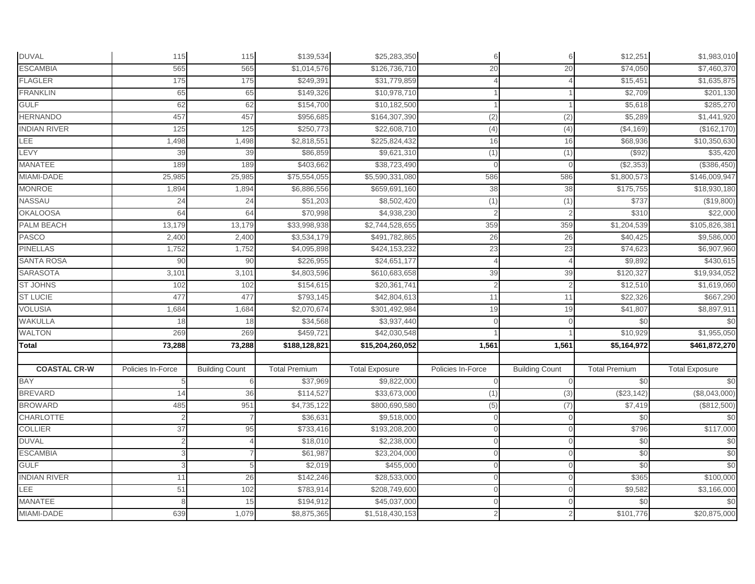| <b>DUVAL</b>        | 115               | 115                   | \$139,534            | \$25,283,350          | 6                 | 6                     | \$12,251             | \$1,983,010           |
|---------------------|-------------------|-----------------------|----------------------|-----------------------|-------------------|-----------------------|----------------------|-----------------------|
| <b>ESCAMBIA</b>     | 565               | 565                   | \$1,014,576          | \$126,736,710         | 20                | 20                    | \$74,050             | \$7,460,370           |
| <b>FLAGLER</b>      | 175               | 175                   | \$249,391            | \$31,779,859          |                   |                       | \$15,451             | \$1,635,875           |
| <b>FRANKLIN</b>     | 65                | 65                    | \$149,326            | \$10,978,710          |                   |                       | \$2,709              | \$201,130             |
| <b>GULF</b>         | 62                | 62                    | \$154,700            | \$10,182,500          |                   |                       | \$5,618              | \$285,270             |
| <b>HERNANDO</b>     | 457               | 457                   | \$956,685            | \$164,307,390         | (2)               | (2)                   | \$5,289              | \$1,441,920           |
| <b>INDIAN RIVER</b> | 125               | 125                   | \$250,773            | \$22,608,710          | (4)               | (4)                   | (\$4,169)            | (\$162, 170)          |
| <b>LEE</b>          | 1,498             | 1,498                 | \$2,818,551          | \$225,824,432         | 16                | 16                    | \$68,936             | \$10,350,630          |
| LEVY                | 39                | 39                    | \$86,859             | \$9,621,310           | (1)               | (1)                   | (\$92)               | \$35,420              |
| <b>MANATEE</b>      | 189               | 189                   | \$403,662            | \$38,723,490          | $\Omega$          | $\Omega$              | ( \$2,353)           | (\$386,450)           |
| MIAMI-DADE          | 25,985            | 25,985                | \$75,554,055         | \$5,590,331,080       | 586               | 586                   | \$1,800,573          | \$146,009,947         |
| <b>MONROE</b>       | 1,894             | 1,894                 | \$6,886,556          | \$659,691,160         | 38                | 38                    | \$175,755            | \$18,930,180          |
| NASSAU              | 24                | 24                    | \$51,203             | \$8,502,420           | (1)               | (1)                   | \$737                | (\$19,800)            |
| <b>OKALOOSA</b>     | 64                | 64                    | \$70,998             | \$4,938,230           | $\overline{2}$    |                       | \$310                | \$22,000              |
| PALM BEACH          | 13,179            | 13,179                | \$33,998,938         | \$2,744,528,655       | 359               | 359                   | \$1,204,539          | \$105,826,381         |
| <b>PASCO</b>        | 2,400             | 2,400                 | \$3,534,179          | \$491,782,865         | 26                | 26                    | \$40,425             | \$9,586,000           |
| <b>PINELLAS</b>     | 1,752             | 1,752                 | \$4,095,898          | \$424,153,232         | 23                | 23                    | \$74,623             | \$6,907,960           |
| <b>SANTA ROSA</b>   | 90                | 90                    | \$226,955            | \$24,651,177          | $\Delta$          |                       | \$9,892              | \$430,615             |
| <b>SARASOTA</b>     | 3,101             | 3,101                 | \$4,803,596          | \$610,683,658         | 39                | 39                    | \$120,327            | \$19,934,052          |
| <b>ST JOHNS</b>     | 102               | 102                   | \$154,615            | \$20,361,741          | $\overline{2}$    | $\mathfrak{D}$        | \$12,510             | \$1,619,060           |
| <b>ST LUCIE</b>     | 477               | 477                   | \$793,145            | \$42,804,613          | 11                | 11                    | \$22,326             | \$667,290             |
| <b>VOLUSIA</b>      | 1,684             | 1,684                 | \$2,070,674          | \$301,492,984         | 19                | 19                    | \$41,807             | \$8,897,911           |
| <b>WAKULLA</b>      | 18                | 18                    | \$34,568             | \$3,937,440           | $\Omega$          | $\Omega$              | \$0                  | \$0                   |
| <b>WALTON</b>       | 269               | 269                   | \$459,721            | \$42,030,548          |                   |                       | \$10,929             | \$1,955,050           |
| <b>Total</b>        | 73,288            | 73,288                | \$188,128,821        | \$15,204,260,052      | 1,561             | 1,561                 | \$5,164,972          | \$461,872,270         |
|                     |                   |                       |                      |                       |                   |                       |                      |                       |
| <b>COASTAL CR-W</b> | Policies In-Force | <b>Building Count</b> | <b>Total Premium</b> | <b>Total Exposure</b> | Policies In-Force | <b>Building Count</b> | <b>Total Premium</b> | <b>Total Exposure</b> |
| <b>BAY</b>          |                   | 6                     | \$37,969             | \$9,822,000           | $\Omega$          | $\Omega$              | \$0                  | \$0                   |
| <b>BREVARD</b>      | 14                | 36                    | \$114,527            | \$33,673,000          | (1)               | (3)                   | (\$23,142)           | (\$8,043,000)         |
| <b>BROWARD</b>      | 485               | 951                   | \$4,735,122          | \$800,690,580         | (5)               | (7)                   | \$7,419              | (\$812,500)           |
| <b>CHARLOTTE</b>    |                   |                       | \$36,631             | \$9,518,000           |                   | $\Omega$              | \$0                  | \$0                   |
| <b>COLLIER</b>      | 37                | 95                    | \$733,416            | \$193,208,200         | $\Omega$          | $\Omega$              | \$796                | \$117,000             |
| <b>DUVAL</b>        |                   |                       | \$18,010             | \$2,238,000           | $\Omega$          | $\Omega$              | \$0                  | \$0                   |
| <b>ESCAMBIA</b>     |                   |                       | \$61,987             | \$23,204,000          | $\Omega$          | $\Omega$              | \$0                  | \$0                   |
| <b>GULF</b>         | 3                 | 5                     | \$2,019              | \$455,000             | $\mathbf 0$       | $\Omega$              | \$0                  | $\frac{6}{3}$         |
| <b>INDIAN RIVER</b> | 11                | 26                    | \$142,246            | \$28,533,000          |                   |                       | \$365                | \$100,000             |
| LEE                 | 51                | 102                   | \$783,914            | \$208,749,600         |                   |                       | \$9,582              | \$3,166,000           |
| MANATEE             |                   | 15                    | \$194,912            | \$45,037,000          | $\Omega$          |                       | \$0                  | \$0                   |
| MIAMI-DADE          | 639               | 1,079                 | \$8,875,365          | \$1,518,430,153       |                   |                       | \$101,776            | \$20,875,000          |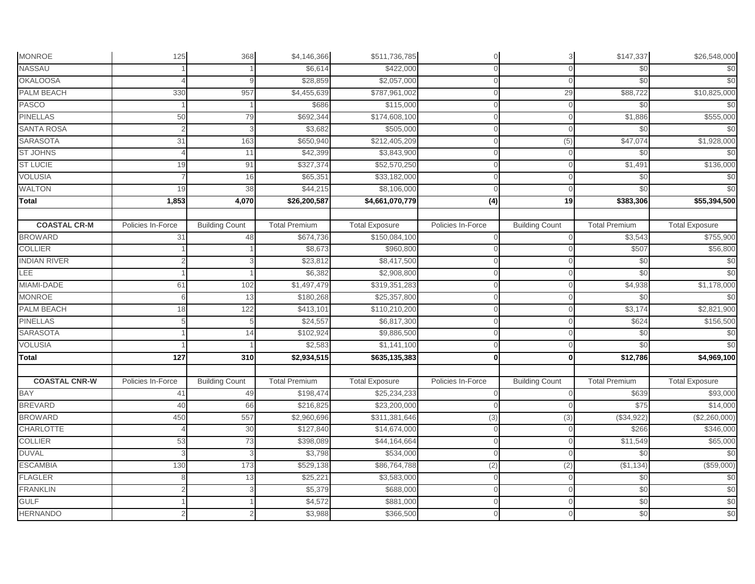| <b>MONROE</b>                     | 125               | 368                   | \$4,146,366          | \$511,736,785         | $\mathbf 0$       | 3                     | \$147,337            | \$26,548,000          |
|-----------------------------------|-------------------|-----------------------|----------------------|-----------------------|-------------------|-----------------------|----------------------|-----------------------|
| <b>NASSAU</b>                     |                   |                       | \$6,614              | \$422,000             | $\Omega$          | $\Omega$              | \$0                  | \$0                   |
| <b>OKALOOSA</b>                   |                   |                       | \$28,859             | \$2,057,000           | $\Omega$          | $\mathbf{0}$          | \$0                  | \$0                   |
| PALM BEACH                        | 330               | 957                   | \$4,455,639          | \$787,961,002         | $\Omega$          | 29                    | \$88,722             | \$10,825,000          |
| <b>PASCO</b>                      |                   |                       | \$686                | \$115,000             | $\Omega$          | $\Omega$              | \$0                  | \$0                   |
| <b>PINELLAS</b>                   | 50                | 79                    | \$692,344            | \$174,608,100         | $\cap$            | $\Omega$              | \$1,886              | \$555,000             |
| <b>SANTA ROSA</b>                 |                   | p                     | \$3,682              | \$505,000             | $\cap$            | $\Omega$              | \$0                  | \$0                   |
| <b>SARASOTA</b>                   | 31                | 163                   | \$650,940            | \$212,405,209         |                   | (5)                   | \$47,074             | \$1,928,000           |
| <b>ST JOHNS</b>                   |                   | 11                    | \$42,399             | \$3,843,900           |                   | $\Omega$              | \$0                  | \$0                   |
| <b>ST LUCIE</b>                   | 19                | 91                    | \$327,374            | \$52,570,250          |                   | $\Omega$              | $\overline{\$1,491}$ | \$136,000             |
| <b>VOLUSIA</b>                    |                   | 16                    | \$65,351             | \$33,182,000          | $\Omega$          | $\Omega$              | \$0                  | \$0                   |
| <b>WALTON</b>                     | 19                | 38                    | \$44,215             | \$8,106,000           | $\Omega$          | $\Omega$              | \$0                  | \$0                   |
| <b>Total</b>                      | 1,853             | 4,070                 | \$26,200,587         | \$4,661,070,779       | $\overline{(4)}$  | 19                    | \$383,306            | \$55,394,500          |
|                                   |                   |                       |                      |                       |                   |                       |                      |                       |
| <b>COASTAL CR-M</b>               | Policies In-Force | <b>Building Count</b> | <b>Total Premium</b> | <b>Total Exposure</b> | Policies In-Force | <b>Building Count</b> | <b>Total Premium</b> | <b>Total Exposure</b> |
| <b>BROWARD</b>                    | 31                | 48                    | \$674,736            | \$150,084,100         |                   | $\Omega$              | \$3,543              | \$755,900             |
| <b>COLLIER</b>                    |                   |                       | \$8,673              | \$960,800             | $\cap$            | $\Omega$              | \$507                | \$56,800              |
| <b>INDIAN RIVER</b>               |                   |                       | \$23,812             | \$8,417,500           | $\Omega$          | $\Omega$              | \$0                  | \$0                   |
| LEE                               |                   |                       | \$6,382              | \$2,908,800           |                   | $\Omega$              | \$0                  | \$0                   |
| MIAMI-DADE                        | 61                | 102                   | \$1,497,479          | \$319,351,283         |                   | $\Omega$              | \$4,938              | \$1,178,000           |
| <b>MONROE</b>                     | 6                 | 13                    | \$180,268            | \$25,357,800          | $\Omega$          | $\Omega$              | \$0                  | \$0                   |
| PALM BEACH                        | 18                | 122                   | \$413,101            | \$110,210,200         | $\cap$            | $\Omega$              | \$3,174<br>\$624     | \$2,821,900           |
| <b>PINELLAS</b>                   |                   | 5                     | \$24,557             | \$6,817,300           | $\Omega$          | 0                     |                      | \$156,500             |
| <b>SARASOTA</b><br><b>VOLUSIA</b> |                   | 14                    | \$102,924            | \$9,886,500           | $\mathbf{0}$      | $\Omega$              | \$0                  | \$0<br>\$0            |
|                                   |                   |                       | \$2,583              | \$1,141,100           | $\Omega$          | $\Omega$              | \$0                  |                       |
| Total                             | 127               | 310                   | \$2,934,515          | \$635,135,383         | $\mathbf{0}$      | 0                     | \$12,786             | \$4,969,100           |
| <b>COASTAL CNR-W</b>              | Policies In-Force | <b>Building Count</b> | <b>Total Premium</b> | <b>Total Exposure</b> | Policies In-Force | <b>Building Count</b> | <b>Total Premium</b> | <b>Total Exposure</b> |
| <b>BAY</b>                        | 41                | 49                    | \$198,474            | \$25,234,233          | $\Omega$          | $\Omega$              | \$639                | \$93,000              |
| <b>BREVARD</b>                    | 40                | 66                    | \$216,825            | \$23,200,000          |                   | $\Omega$              | \$75                 | \$14,000              |
| <b>BROWARD</b>                    | 450               | 557                   | \$2,960,696          | \$311,381,646         | (3)               | (3)                   | (\$34,922)           | (\$2,260,000)         |
| <b>CHARLOTTE</b>                  |                   | 30                    | \$127,840            | \$14,674,000          | $\Omega$          | $\Omega$              | \$266                | \$346,000             |
| <b>COLLIER</b>                    | 53                | 73                    | \$398,089            | \$44,164,664          |                   | $\Omega$              | \$11,549             | \$65,000              |
| <b>DUVAL</b>                      |                   | 3                     | \$3,798              | \$534,000             | $\Omega$          | $\Omega$              | \$0                  | \$0                   |
| <b>ESCAMBIA</b>                   | 130               | 173                   | \$529,138            | \$86,764,788          | (2)               | (2)                   | ( \$1,134)           | (\$59,000)            |
| <b>FLAGLER</b>                    |                   | 13                    | \$25,221             | \$3,583,000           |                   | $\Omega$              | \$0                  | \$0                   |
| <b>FRANKLIN</b>                   |                   |                       | \$5,379              | \$688,000             | $\cap$            | $\Omega$              | \$0                  | \$0                   |
| <b>GULF</b>                       |                   |                       | \$4,572              | \$881,000             | $\Omega$          | $\Omega$              | \$0                  | \$0                   |
| <b>HERNANDO</b>                   |                   |                       | \$3,988              | \$366,500             |                   | $\Omega$              | \$0                  | \$0                   |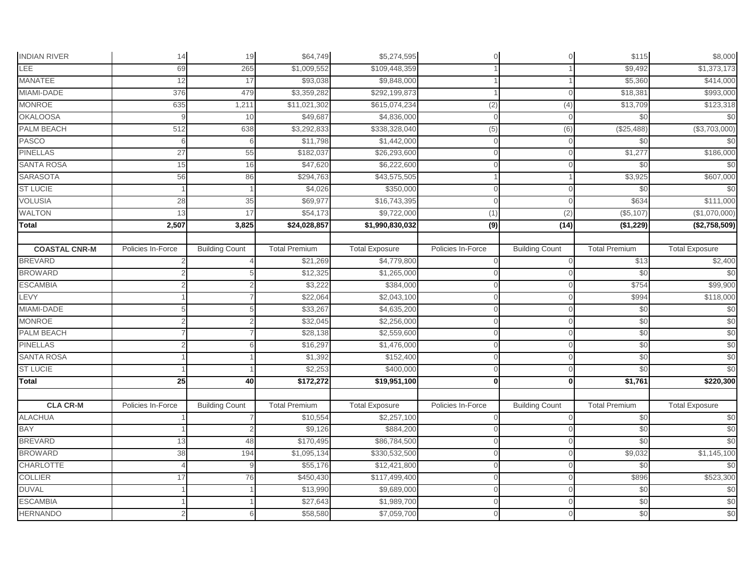| <b>INDIAN RIVER</b>  | 14                | 19                    | \$64,749             | \$5,274,595           | $\mathbf{0}$      | $\overline{O}$        | \$115                | \$8,000               |
|----------------------|-------------------|-----------------------|----------------------|-----------------------|-------------------|-----------------------|----------------------|-----------------------|
| LEE                  | 69                | 265                   | \$1,009,552          | \$109,448,359         |                   |                       | \$9,492              | \$1,373,173           |
| <b>MANATEE</b>       | 12                | 17                    | \$93,038             | \$9,848,000           |                   |                       | \$5,360              | \$414,000             |
| MIAMI-DADE           | 376               | 479                   | \$3,359,282          | \$292,199,873         |                   | $\Omega$              | \$18,381             | \$993,000             |
| <b>MONROE</b>        | 635               | 1,211                 | \$11,021,302         | \$615,074,234         | (2)               | (4)                   | \$13,709             | \$123,318             |
| <b>OKALOOSA</b>      |                   | 10                    | \$49,687             | \$4,836,000           | $\Omega$          | $\Omega$              | \$0                  | \$0                   |
| PALM BEACH           | 512               | 638                   | \$3,292,833          | \$338,328,040         | (5)               | (6)                   | (\$25,488)           | (\$3,703,000)         |
| <b>PASCO</b>         | 6                 | 6                     | \$11,798             | \$1,442,000           | $\Omega$          | $\Omega$              | \$0                  | \$0                   |
| <b>PINELLAS</b>      | 27                | 55                    | \$182,037            | \$26,293,600          |                   | $\cap$                | \$1,277              | \$186,000             |
| <b>SANTA ROSA</b>    | 15                | 16                    | \$47,620             | \$6,222,600           | $\cap$            | $\Omega$              | \$0                  | \$0                   |
| <b>SARASOTA</b>      | 56                | 86                    | \$294,763            | \$43,575,505          |                   |                       | \$3,925              | \$607,000             |
| <b>ST LUCIE</b>      |                   |                       | \$4,026              | \$350,000             | $\Omega$          | $\Omega$              | \$0                  | \$0                   |
| <b>VOLUSIA</b>       | 28                | 35                    | \$69,977             | \$16,743,395          | $\Omega$          | $\Omega$              | \$634                | \$111,000             |
| <b>WALTON</b>        | 13                | 17                    | \$54,173             | \$9,722,000           | (1)               | (2)                   | (\$5,107)            | (\$1,070,000)         |
| <b>Total</b>         | 2,507             | 3,825                 | \$24,028,857         | \$1,990,830,032       | $\overline{(9)}$  | (14)                  | (\$1,229)            | (\$2,758,509)         |
|                      |                   |                       |                      |                       |                   |                       |                      |                       |
| <b>COASTAL CNR-M</b> | Policies In-Force | <b>Building Count</b> | <b>Total Premium</b> | <b>Total Exposure</b> | Policies In-Force | <b>Building Count</b> | <b>Total Premium</b> | <b>Total Exposure</b> |
| <b>BREVARD</b>       |                   |                       | \$21,269             | \$4,779,800           | $\Omega$          | $\Omega$              | \$13                 | \$2,400               |
| <b>BROWARD</b>       |                   | 5                     | \$12,325             | \$1,265,000           |                   | $\Omega$              | \$0                  | \$0                   |
| <b>ESCAMBIA</b>      |                   |                       | \$3,222              | \$384,000             |                   | $\Omega$              | \$754                | \$99,900              |
| LEVY                 |                   |                       | \$22,064             | \$2,043,100           | $\Omega$          | $\Omega$              | \$994                | \$118,000             |
| MIAMI-DADE           |                   |                       | \$33,267             | \$4,635,200           |                   | $\Omega$              | \$0                  | \$0                   |
| <b>MONROE</b>        |                   |                       | \$32,045             | \$2,256,000           | $\Omega$          | $\Omega$              | \$0                  | \$0                   |
| PALM BEACH           |                   |                       | \$28,138             | \$2,559,600           | $\mathbf{0}$      | $\Omega$              | \$0                  | \$0                   |
| <b>PINELLAS</b>      |                   | 6                     | \$16,297             | \$1,476,000           | $\Omega$          | $\Omega$              | \$0                  | \$0                   |
| <b>SANTA ROSA</b>    |                   |                       | \$1,392              | \$152,400             |                   | $\Omega$              | \$0                  | \$0                   |
| <b>ST LUCIE</b>      |                   |                       | \$2,253              | \$400,000             | $\Omega$          | $\cap$                | \$0                  | \$0                   |
| Total                | 25                | 40                    | \$172,272            | \$19,951,100          | $\mathbf{0}$      | $\mathbf{0}$          | \$1,761              | \$220,300             |
|                      |                   |                       |                      |                       |                   |                       |                      |                       |
| <b>CLA CR-M</b>      | Policies In-Force | <b>Building Count</b> | <b>Total Premium</b> | <b>Total Exposure</b> | Policies In-Force | <b>Building Count</b> | <b>Total Premium</b> | <b>Total Exposure</b> |
| <b>ALACHUA</b>       |                   |                       | \$10,554             | \$2,257,100           | $\Omega$          | $\overline{0}$        | \$0                  | \$0                   |
| BAY                  |                   |                       | \$9,126              | \$884,200             |                   | U                     | \$0                  | \$0                   |
| <b>BREVARD</b>       | 13                | 48                    | \$170,495            | \$86,784,500          |                   | $\Omega$              | \$0                  | \$0                   |
| <b>BROWARD</b>       | 38                | 194                   | \$1,095,134          | \$330,532,500         | $\cap$            | $\Omega$              | \$9,032              | \$1,145,100           |
| <b>CHARLOTTE</b>     |                   | 9                     | \$55,176             | \$12,421,800          | $\Omega$          | $\Omega$              | \$0                  | \$0                   |
| <b>COLLIER</b>       | 17                | 76                    | \$450,430            | \$117,499,400         | $\Omega$          | $\Omega$              | \$896                | \$523,300             |
| <b>DUVAL</b>         |                   |                       | \$13,990             | \$9,689,000           | $\Omega$          | $\Omega$              | \$0                  | \$0                   |
| <b>ESCAMBIA</b>      |                   |                       | \$27,643             | \$1,989,700           | $\cap$            | $\Omega$              | \$0                  | \$0                   |
| <b>HERNANDO</b>      |                   |                       | \$58,580             | \$7,059,700           |                   | $\Omega$              | \$0                  | \$0                   |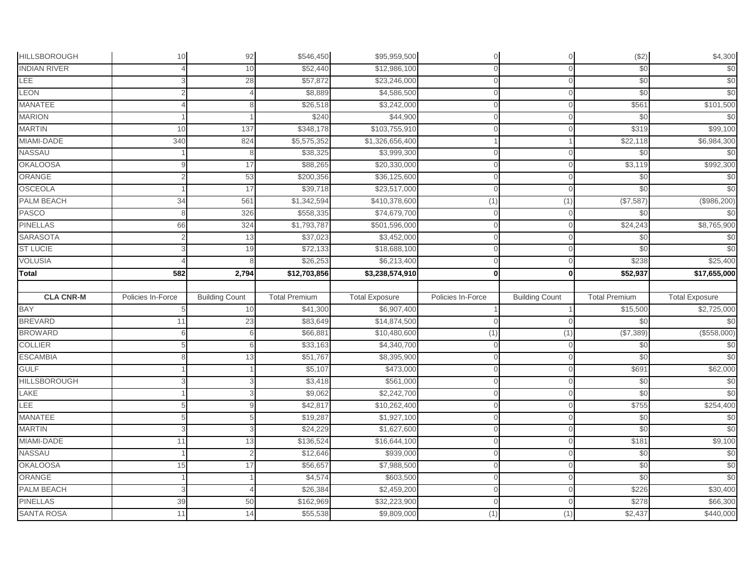| <b>HILLSBOROUGH</b>                  | 10                | 92                    | \$546,450             | \$95,959,500          | $\mathbf 0$       | $\overline{O}$        | (\$2)                | \$4,300               |
|--------------------------------------|-------------------|-----------------------|-----------------------|-----------------------|-------------------|-----------------------|----------------------|-----------------------|
| <b>INDIAN RIVER</b>                  |                   | 10                    | \$52,440              | \$12,986,100          | $\Omega$          | $\Omega$              | \$0                  | \$0                   |
| <b>LEE</b>                           |                   | 28                    | \$57,872              | \$23,246,000          | $\cap$            | $\Omega$              | \$0                  | \$0                   |
| LEON                                 |                   |                       | \$8,889               | \$4,586,500           |                   | $\Omega$              | \$0                  | \$0                   |
| <b>MANATEE</b>                       |                   | 8                     | \$26,518              | \$3,242,000           | $\cap$            | $\Omega$              | \$56'                | \$101,500             |
| <b>MARION</b>                        |                   |                       | \$240                 | \$44,900              | $\cap$            | $\Omega$              | \$0                  | \$0                   |
| <b>MARTIN</b>                        | 10                | 137                   | \$348,178             | \$103,755,910         | $\Omega$          | $\overline{0}$        | \$319                | \$99,100              |
| MIAMI-DADE                           | 340               | 824                   | \$5,575,352           | \$1,326,656,400       |                   |                       | \$22,118             | \$6,984,300           |
| NASSAU                               |                   | 8                     | \$38,325              | \$3,999,300           |                   | $\Omega$              | \$0                  | \$0                   |
| <b>OKALOOSA</b>                      |                   | 17                    | \$88,265              | \$20,330,000          | $\Omega$          | $\Omega$              | \$3,119              | \$992,300             |
| ORANGE                               |                   | 53                    | \$200,356             | \$36,125,600          | $\Omega$          | $\Omega$              | \$0                  | \$0                   |
| <b>OSCEOLA</b>                       |                   | 17                    | \$39,718              | \$23,517,000          | $\Omega$          | $\Omega$              | \$0                  | \$0                   |
| PALM BEACH                           | 34                | 561                   | \$1,342,594           | \$410,378,600         | (1)               | (1)                   | (\$7,587)            | (\$986,200)           |
| <b>PASCO</b>                         | 8                 | 326                   | \$558,335             | \$74,679,700          | $\Omega$          | $\mathbf{0}$          | \$0                  | \$0                   |
| <b>PINELLAS</b>                      | 66                | 324                   | \$1,793,787           | \$501,596,000         | $\cap$            | $\Omega$              | \$24,243             | \$8,765,900           |
| <b>SARASOTA</b>                      |                   | 13                    | \$37,023              | \$3,452,000           |                   | $\Omega$              | \$0                  | \$0                   |
| <b>ST LUCIE</b>                      |                   | 19                    | \$72,133              | \$18,688,100          | $\cap$            | $\Omega$              | \$0                  | \$0                   |
| <b>VOLUSIA</b>                       |                   |                       | \$26,253              | \$6,213,400           | $\Omega$          | $\Omega$              | \$238                | \$25,400              |
| <b>Total</b>                         | 582               | 2,794                 | \$12,703,856          | \$3,238,574,910       | $\mathbf{0}$      | 0                     | 552,937              | \$17,655,000          |
|                                      |                   |                       |                       |                       |                   |                       |                      |                       |
|                                      |                   |                       |                       |                       |                   |                       |                      |                       |
| <b>CLA CNR-M</b>                     | Policies In-Force | <b>Building Count</b> | <b>Total Premium</b>  | <b>Total Exposure</b> | Policies In-Force | <b>Building Count</b> | <b>Total Premium</b> | <b>Total Exposure</b> |
| <b>BAY</b>                           |                   | 10                    | \$41,300              | \$6,907,400           |                   |                       | \$15,500             | \$2,725,000           |
| <b>BREVARD</b>                       | 11                | 23                    | \$83,649              | \$14,874,500          | $\mathbf{0}$      | $\overline{O}$        | \$0                  | \$0                   |
| <b>BROWARD</b>                       | 6                 | 6                     | \$66,881              | \$10,480,600          | (1)               | (1)                   | (\$7,389)            | (\$558,000)           |
| <b>COLLIER</b>                       |                   | 6                     | \$33,163              | \$4,340,700           | $\Omega$          | $\mathbf{0}$          | \$0                  | \$0                   |
| <b>ESCAMBIA</b>                      |                   | 13                    | \$51,767              | \$8,395,900           |                   | $\Omega$              | \$0                  | \$0                   |
| <b>GULF</b>                          |                   |                       | \$5,107               | \$473,000             | $\Omega$          | $\Omega$              | \$691                | \$62,000              |
|                                      |                   |                       | \$3,418               | \$561,000             | $\Omega$          | $\Omega$              | \$0                  | \$0                   |
| LAKE                                 |                   | 3                     | \$9,062               | \$2,242,700           | $\cap$            | $\mathbf{O}$          | \$0                  | \$0                   |
| LEE                                  |                   | $\mathsf{Q}$          | \$42,817              | \$10,262,400          | $\cap$            | $\Omega$              | \$755                | \$254,400             |
| <b>MANATEE</b>                       |                   | 5                     | \$19,287              | \$1,927,100           |                   | $\overline{0}$        | \$0                  | \$0                   |
| <b>MARTIN</b>                        |                   |                       | \$24,229              | \$1,627,600           |                   | $\mathbf{O}$          | \$0                  | \$0                   |
| MIAMI-DADE                           | 11                | 13                    | \$136,524             | \$16,644,100          |                   | $\Omega$              | \$181                | \$9,100               |
| <b>HILLSBOROUGH</b><br>NASSAU        |                   | $\overline{2}$        | \$12,646              | \$939,000             | $\Omega$          | $\Omega$              | \$0                  |                       |
| <b>OKALOOSA</b>                      | 15                | 17                    | \$56,657              | \$7,988,500           | $\Omega$          | $\Omega$              | \$0                  | \$0<br>\$0            |
| ORANGE                               |                   |                       | \$4,574               | \$603,500             | $\Omega$          | $\Omega$              | \$0                  | \$0                   |
| PALM BEACH                           |                   |                       | \$26,384              | \$2,459,200           | $\Omega$          | $\Omega$              | \$226                | \$30,400              |
| <b>PINELLAS</b><br><b>SANTA ROSA</b> | 39                | 50                    | \$162,969<br>\$55,538 | \$32,223,900          | $\Omega$          | $\Omega$              | \$278                | \$66,300<br>\$440,000 |